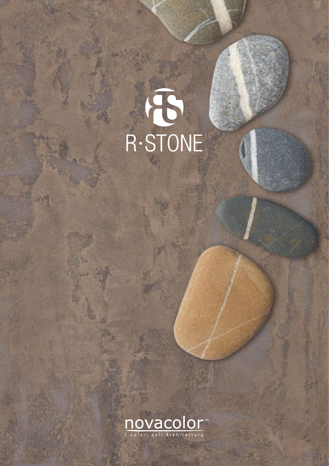# R.STONE

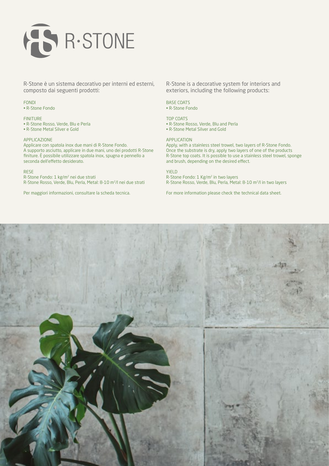

R-Stone è un sistema decorativo per interni ed esterni, composto dai seguenti prodotti:

# FONDI

• R-Stone Fondo

## FINITURE

- R-Stone Rosso, Verde, Blu e Perla
- R-Stone Metal Silver e Gold

#### APPLICAZIONE

Applicare con spatola inox due mani di R-Stone Fondo. A supporto asciutto, applicare in due mani, uno dei prodotti R-Stone finiture. È possibile utilizzare spatola inox, spugna e pennello a seconda dell'effetto desiderato.

#### RESE

R-Stone Fondo: 1 kg/m2 nei due strati R-Stone Rosso, Verde, Blu, Perla, Metal: 8-10 m2/l nei due strati

Per maggiori informazioni, consultare la scheda tecnica.

R-Stone is a decorative system for interiors and exteriors, including the following products:

# BASE COATS

• R-Stone Fondo

## TOP COATS

- R-Stone Rosso, Verde, Blu and Perla
- R-Stone Metal Silver and Gold

#### APPLICATION

Apply, with a stainless steel trowel, two layers of R-Stone Fondo. Once the substrate is dry, apply two layers of one of the products R-Stone top coats. It is possible to use a stainless steel trowel, sponge and brush, depending on the desired effect.

### YIELD

R-Stone Fondo: 1 Kg/m<sup>2</sup> in two layers R-Stone Rosso, Verde, Blu, Perla, Metal: 8-10 m<sup>2</sup>/l in two layers

For more information please check the technical data sheet.

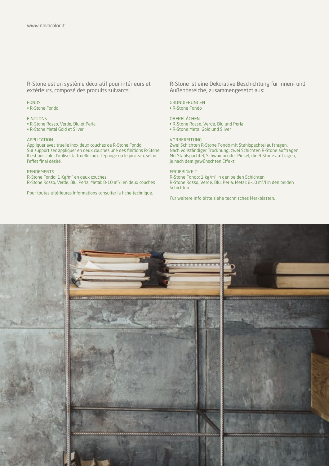R-Stone est un système décoratif pour intérieurs et extérieurs, composé des produits suivants:

# FONDS

• R-Stone Fondo

# FINITIONS

• R-Stone Rosso, Verde, Blu et Perla

• R-Stone Metal Gold et Silver

#### APPLICATION

Appliquer avec truelle inox deux couches de R-Stone Fondo. Sur support sec appliquer en deux couches une des finitions R-Stone. Il est possible d'utiliser la truelle inox, l'éponge ou le pinceau, selon l'effet final désiré.

## RENDEMENTS

R-Stone Fondo: 1 Kg/m<sup>2</sup> en deux couches R-Stone Rosso, Verde, Blu, Perla, Metal: 8-10 m2/l en deux couches

Pour toutes ultérieures informations consulter la fiche technique.

R-Stone ist eine Dekorative Beschichtung für Innen- und Außenbereiche, zusammengesetzt aus:

# GRUNDIERUNGEN

• R-Stone Fondo

# **OBERFLÄCHEN**

- R-Stone Rosso, Verde, Blu und Perla
- R-Stone Metal Gold und Silver

#### VORBEREITUNG

Zwei Schichten R-Stone Fondo mit Stahlspachtel auftragen. Nach vollständiger Trocknung, zwei Schichten R-Stone auftragen. Mit Stahlspachtel, Schwamm oder Pinsel, die R-Stone auftragen, je nach dem gewünschten Effekt.

## ERGIEBIGKEIT

R-Stone Fondo: 1 kg/m2 in den beiden Schichten R-Stone Rosso, Verde, Blu, Perla, Metal: 8-10 m2/l in den beiden **Schichten** 

Für weitere Info bitte siehe technisches Merkblatten.

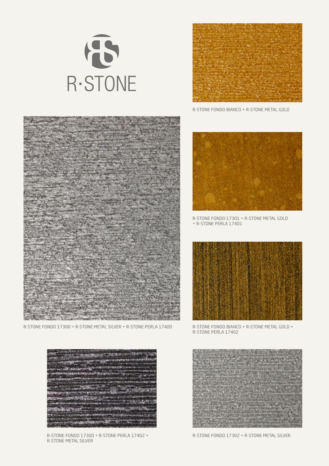



R-STONE FONDO 17300 + R-STONE METAL SILVER + R-STONE PERLA 17400



R-STONE FONDO BIANCO + R-STONE METAL GOLD



R-STONE FONDO 17301 + R-STONE METAL GOLD + R-STONE PERLA 17401



R-STONE FONDO BIANCO + R-STONE METAL GOLD + R-STONE PERLA 17402



R-STONE FONDO 17300 + R-STONE PERLA 17402 + R-STONE METAL SILVER



R-STONE FONDO 17302 + R-STONE METAL SILVER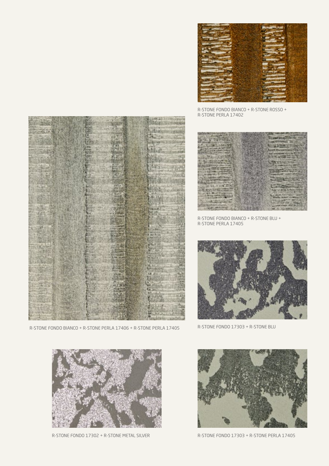

R-STONE FONDO BIANCO + R-STONE ROSSO + R-STONE PERLA 17402



R-STONE FONDO BIANCO + R-STONE BLU + R-STONE PERLA 17405



R-STONE FONDO 17303 + R-STONE BLU



R-STONE FONDO BIANCO + R-STONE PERLA 17406 + R-STONE PERLA 17405



R-STONE FONDO 17302 + R-STONE METAL SILVER RESTONE RESTONE FONDO 17303 + R-STONE PERLA 17405

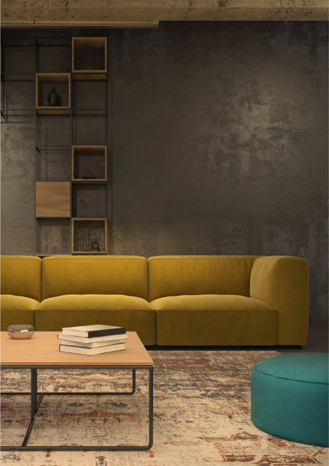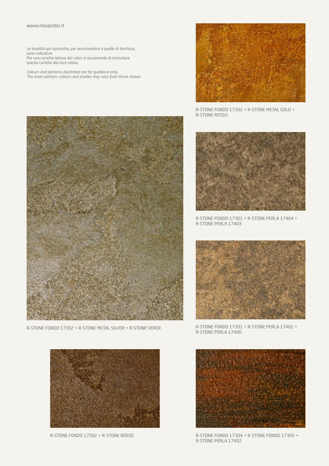#### www.novacolor.it

Le tonalità qui riprodotte, pur avvicinandosi a quelle di fornitura, sono indicative. Per una corretta lettura dei colori si raccomanda di consultare

questa cartella alla luce solare.

*Colours and patterns illustrated are for guidance only. The exact pattern, colours and shades may vary from those shown.* 



R-STONE FONDO 17302 + R-STONE METAL SILVER + R-STONE VERDE



R-STONE FONDO 17302 + R-STONE METAL GOLD + R-STONE ROSSO



R-STONE FONDO 17301 + R-STONE PERLA 17404 + R-STONE PERLA 17403



R-STONE FONDO 17301 + R-STONE PERLA 17401 + R-STONE PERLA 17400



R-STONE FONDO 17302 + R-STONE ROSSO



R-STONE FONDO 17304 + R-STONE FONDO 17305 + R-STONE PERLA 17402